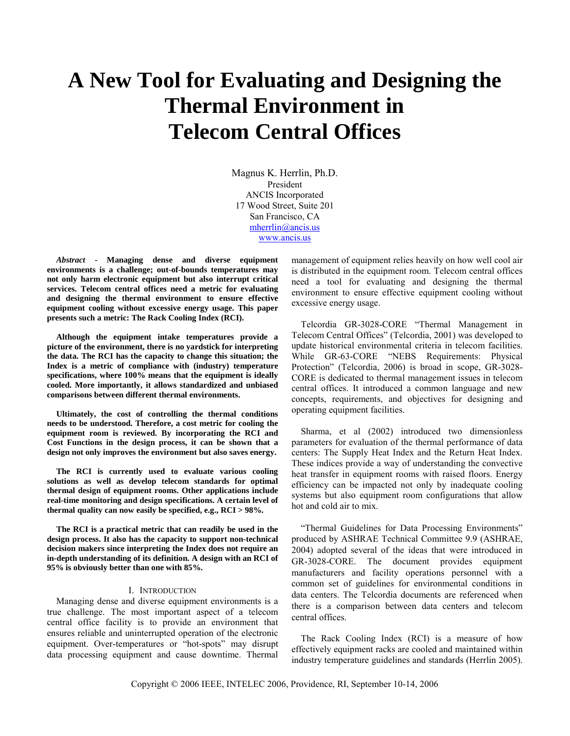# **A New Tool for Evaluating and Designing the Thermal Environment in Telecom Central Offices**

Magnus K. Herrlin, Ph.D. President ANCIS Incorporated 17 Wood Street, Suite 201 San Francisco, CA mherrlin@ancis.us www.ancis.us

*Abstract* **- Managing dense and diverse equipment environments is a challenge; out-of-bounds temperatures may not only harm electronic equipment but also interrupt critical services. Telecom central offices need a metric for evaluating and designing the thermal environment to ensure effective equipment cooling without excessive energy usage. This paper presents such a metric: The Rack Cooling Index (RCI).** 

**Although the equipment intake temperatures provide a picture of the environment, there is no yardstick for interpreting the data. The RCI has the capacity to change this situation; the Index is a metric of compliance with (industry) temperature specifications, where 100% means that the equipment is ideally cooled. More importantly, it allows standardized and unbiased comparisons between different thermal environments.** 

**Ultimately, the cost of controlling the thermal conditions needs to be understood. Therefore, a cost metric for cooling the equipment room is reviewed. By incorporating the RCI and Cost Functions in the design process, it can be shown that a design not only improves the environment but also saves energy.** 

**The RCI is currently used to evaluate various cooling solutions as well as develop telecom standards for optimal thermal design of equipment rooms. Other applications include real-time monitoring and design specifications. A certain level of thermal quality can now easily be specified, e.g., RCI > 98%.** 

**The RCI is a practical metric that can readily be used in the design process. It also has the capacity to support non-technical decision makers since interpreting the Index does not require an in-depth understanding of its definition. A design with an RCI of 95% is obviously better than one with 85%.** 

#### I. INTRODUCTION

Managing dense and diverse equipment environments is a true challenge. The most important aspect of a telecom central office facility is to provide an environment that ensures reliable and uninterrupted operation of the electronic equipment. Over-temperatures or "hot-spots" may disrupt data processing equipment and cause downtime. Thermal

management of equipment relies heavily on how well cool air is distributed in the equipment room. Telecom central offices need a tool for evaluating and designing the thermal environment to ensure effective equipment cooling without excessive energy usage.

Telcordia GR-3028-CORE "Thermal Management in Telecom Central Offices" (Telcordia, 2001) was developed to update historical environmental criteria in telecom facilities. While GR-63-CORE "NEBS Requirements: Physical Protection" (Telcordia, 2006) is broad in scope, GR-3028- CORE is dedicated to thermal management issues in telecom central offices. It introduced a common language and new concepts, requirements, and objectives for designing and operating equipment facilities.

Sharma, et al (2002) introduced two dimensionless parameters for evaluation of the thermal performance of data centers: The Supply Heat Index and the Return Heat Index. These indices provide a way of understanding the convective heat transfer in equipment rooms with raised floors. Energy efficiency can be impacted not only by inadequate cooling systems but also equipment room configurations that allow hot and cold air to mix.

"Thermal Guidelines for Data Processing Environments" produced by ASHRAE Technical Committee 9.9 (ASHRAE, 2004) adopted several of the ideas that were introduced in GR-3028-CORE. The document provides equipment manufacturers and facility operations personnel with a common set of guidelines for environmental conditions in data centers. The Telcordia documents are referenced when there is a comparison between data centers and telecom central offices.

The Rack Cooling Index (RCI) is a measure of how effectively equipment racks are cooled and maintained within industry temperature guidelines and standards (Herrlin 2005).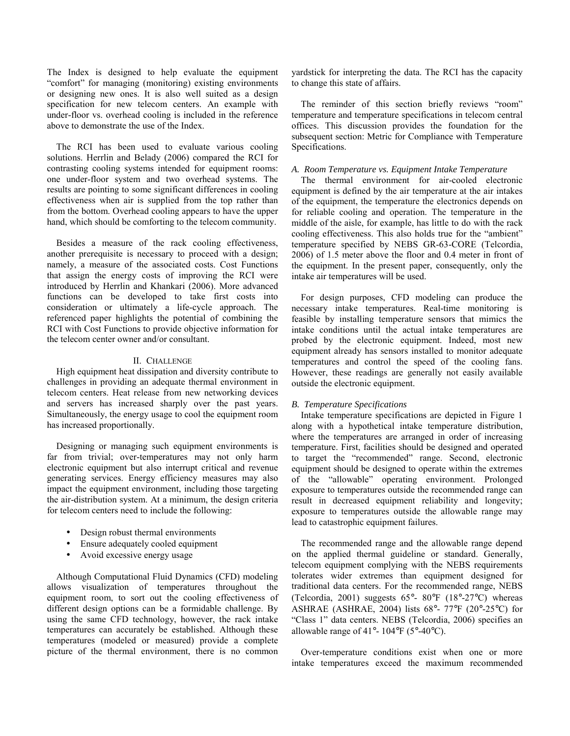The Index is designed to help evaluate the equipment "comfort" for managing (monitoring) existing environments or designing new ones. It is also well suited as a design specification for new telecom centers. An example with under-floor vs. overhead cooling is included in the reference above to demonstrate the use of the Index.

The RCI has been used to evaluate various cooling solutions. Herrlin and Belady (2006) compared the RCI for contrasting cooling systems intended for equipment rooms: one under-floor system and two overhead systems. The results are pointing to some significant differences in cooling effectiveness when air is supplied from the top rather than from the bottom. Overhead cooling appears to have the upper hand, which should be comforting to the telecom community.

Besides a measure of the rack cooling effectiveness, another prerequisite is necessary to proceed with a design; namely, a measure of the associated costs. Cost Functions that assign the energy costs of improving the RCI were introduced by Herrlin and Khankari (2006). More advanced functions can be developed to take first costs into consideration or ultimately a life-cycle approach. The referenced paper highlights the potential of combining the RCI with Cost Functions to provide objective information for the telecom center owner and/or consultant.

#### II. CHALLENGE

High equipment heat dissipation and diversity contribute to challenges in providing an adequate thermal environment in telecom centers. Heat release from new networking devices and servers has increased sharply over the past years. Simultaneously, the energy usage to cool the equipment room has increased proportionally.

Designing or managing such equipment environments is far from trivial; over-temperatures may not only harm electronic equipment but also interrupt critical and revenue generating services. Energy efficiency measures may also impact the equipment environment, including those targeting the air-distribution system. At a minimum, the design criteria for telecom centers need to include the following:

- Design robust thermal environments
- Ensure adequately cooled equipment
- Avoid excessive energy usage

Although Computational Fluid Dynamics (CFD) modeling allows visualization of temperatures throughout the equipment room, to sort out the cooling effectiveness of different design options can be a formidable challenge. By using the same CFD technology, however, the rack intake temperatures can accurately be established. Although these temperatures (modeled or measured) provide a complete picture of the thermal environment, there is no common yardstick for interpreting the data. The RCI has the capacity to change this state of affairs.

The reminder of this section briefly reviews "room" temperature and temperature specifications in telecom central offices. This discussion provides the foundation for the subsequent section: Metric for Compliance with Temperature Specifications.

# *A. Room Temperature vs. Equipment Intake Temperature*

The thermal environment for air-cooled electronic equipment is defined by the air temperature at the air intakes of the equipment, the temperature the electronics depends on for reliable cooling and operation. The temperature in the middle of the aisle, for example, has little to do with the rack cooling effectiveness. This also holds true for the "ambient" temperature specified by NEBS GR-63-CORE (Telcordia, 2006) of 1.5 meter above the floor and 0.4 meter in front of the equipment. In the present paper, consequently, only the intake air temperatures will be used.

For design purposes, CFD modeling can produce the necessary intake temperatures. Real-time monitoring is feasible by installing temperature sensors that mimics the intake conditions until the actual intake temperatures are probed by the electronic equipment. Indeed, most new equipment already has sensors installed to monitor adequate temperatures and control the speed of the cooling fans. However, these readings are generally not easily available outside the electronic equipment.

### *B. Temperature Specifications*

Intake temperature specifications are depicted in Figure 1 along with a hypothetical intake temperature distribution, where the temperatures are arranged in order of increasing temperature. First, facilities should be designed and operated to target the "recommended" range. Second, electronic equipment should be designed to operate within the extremes of the "allowable" operating environment. Prolonged exposure to temperatures outside the recommended range can result in decreased equipment reliability and longevity; exposure to temperatures outside the allowable range may lead to catastrophic equipment failures.

The recommended range and the allowable range depend on the applied thermal guideline or standard. Generally, telecom equipment complying with the NEBS requirements tolerates wider extremes than equipment designed for traditional data centers. For the recommended range, NEBS (Telcordia, 2001) suggests 65°- 80°F (18°-27°C) whereas ASHRAE (ASHRAE, 2004) lists 68°- 77°F (20°-25°C) for "Class 1" data centers. NEBS (Telcordia, 2006) specifies an allowable range of 41 $\degree$ -104 $\degree$ F (5 $\degree$ -40 $\degree$ C).

Over-temperature conditions exist when one or more intake temperatures exceed the maximum recommended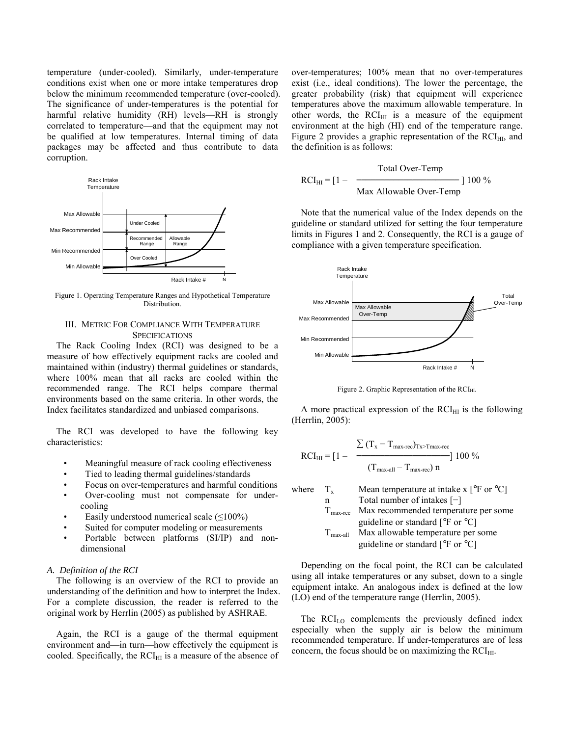temperature (under-cooled). Similarly, under-temperature conditions exist when one or more intake temperatures drop below the minimum recommended temperature (over-cooled). The significance of under-temperatures is the potential for harmful relative humidity (RH) levels—RH is strongly correlated to temperature—and that the equipment may not be qualified at low temperatures. Internal timing of data packages may be affected and thus contribute to data corruption.



Figure 1. Operating Temperature Ranges and Hypothetical Temperature Distribution.

# III. METRIC FOR COMPLIANCE WITH TEMPERATURE **SPECIFICATIONS**

The Rack Cooling Index (RCI) was designed to be a measure of how effectively equipment racks are cooled and maintained within (industry) thermal guidelines or standards, where 100% mean that all racks are cooled within the recommended range. The RCI helps compare thermal environments based on the same criteria. In other words, the Index facilitates standardized and unbiased comparisons.

The RCI was developed to have the following key characteristics:

- Meaningful measure of rack cooling effectiveness
- Tied to leading thermal guidelines/standards
- Focus on over-temperatures and harmful conditions
- Over-cooling must not compensate for undercooling
- Easily understood numerical scale  $(\leq 100\%)$
- Suited for computer modeling or measurements
- Portable between platforms (SI/IP) and nondimensional

## *A. Definition of the RCI*

The following is an overview of the RCI to provide an understanding of the definition and how to interpret the Index. For a complete discussion, the reader is referred to the original work by Herrlin (2005) as published by ASHRAE.

Again, the RCI is a gauge of the thermal equipment environment and—in turn—how effectively the equipment is cooled. Specifically, the  $RCI<sub>HI</sub>$  is a measure of the absence of over-temperatures; 100% mean that no over-temperatures exist (i.e., ideal conditions). The lower the percentage, the greater probability (risk) that equipment will experience temperatures above the maximum allowable temperature. In other words, the  $RCI_{HI}$  is a measure of the equipment environment at the high (HI) end of the temperature range. Figure 2 provides a graphic representation of the  $RCI_{HI}$ , and the definition is as follows:

$$
RCI_{HI} = [1 - \frac{Total Over-Temp}{Max Allowable Over-Temp}] 100 %
$$

Note that the numerical value of the Index depends on the guideline or standard utilized for setting the four temperature limits in Figures 1 and 2. Consequently, the RCI is a gauge of compliance with a given temperature specification.



Figure 2. Graphic Representation of the RCI<sub>HI</sub>.

A more practical expression of the  $RCI<sub>HI</sub>$  is the following (Herrlin, 2005):

$$
RCI_{HI} = [1 - \frac{\sum (T_x - T_{max-rec})_{Tx > Tmax-rec}}{(T_{max-all} - T_{max-rec}) n}] 100\%
$$

|                      | Mean temperature at intake x $\lceil \text{°F} \text{ or } \text{°C} \rceil$ |
|----------------------|------------------------------------------------------------------------------|
| n                    | Total number of intakes $[-]$                                                |
| $T_{\text{max-rec}}$ | Max recommended temperature per some                                         |
|                      | guideline or standard $[°F$ or $°C]$                                         |
| $T_{\text{max-all}}$ | Max allowable temperature per some                                           |
|                      | guideline or standard [ $\degree$ F or $\degree$ C]                          |
|                      | - T.                                                                         |

Depending on the focal point, the RCI can be calculated using all intake temperatures or any subset, down to a single equipment intake. An analogous index is defined at the low (LO) end of the temperature range (Herrlin, 2005).

The RCI<sub>LO</sub> complements the previously defined index especially when the supply air is below the minimum recommended temperature. If under-temperatures are of less concern, the focus should be on maximizing the  $RCI<sub>HI</sub>$ .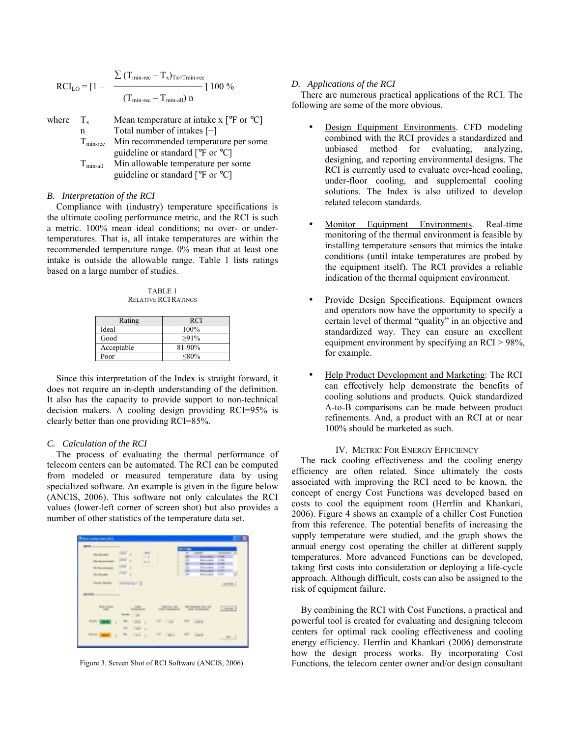$$
RCI_{LO} = [1 - \frac{\sum (T_{min-rec} - T_x)_{Tx < T_{min-rec}}}{(T_{min-rec} - T_{min-all}) n}] 100\%
$$

where  $T_x$  Mean temperature at intake x [ $\degree$ F or  $\degree$ C] n Total number of intakes [−] T<sub>min-rec</sub> Min recommended temperature per some guideline or standard [°F or °C]  $T_{min-all}$  Min allowable temperature per some guideline or standard [°F or °C]

# *B. Interpretation of the RCI*

Compliance with (industry) temperature specifications is the ultimate cooling performance metric, and the RCI is such a metric. 100% mean ideal conditions; no over- or undertemperatures. That is, all intake temperatures are within the recommended temperature range. 0% mean that at least one intake is outside the allowable range. Table 1 lists ratings based on a large number of studies.

TABLE 1 RELATIVE RCIRATINGS

| Rating     | <b>RCI</b>  |
|------------|-------------|
| Ideal      | 100%        |
| Good       | $>91\%$     |
| Acceptable | $81 - 90\%$ |
| Poor       | $< 80\%$    |

Since this interpretation of the Index is straight forward, it does not require an in-depth understanding of the definition. It also has the capacity to provide support to non-technical decision makers. A cooling design providing RCI=95% is clearly better than one providing RCI=85%.

# *C. Calculation of the RCI*

The process of evaluating the thermal performance of telecom centers can be automated. The RCI can be computed from modeled or measured temperature data by using specialized software. An example is given in the figure below (ANCIS, 2006). This software not only calculates the RCI values (lower-left corner of screen shot) but also provides a number of other statistics of the temperature data set.



Figure 3. Screen Shot of RCI Software (ANCIS, 2006).

#### *D. Applications of the RCI*

There are numerous practical applications of the RCI. The following are some of the more obvious.

- Design Equipment Environments. CFD modeling combined with the RCI provides a standardized and unbiased method for evaluating, analyzing, designing, and reporting environmental designs. The RCI is currently used to evaluate over-head cooling, under-floor cooling, and supplemental cooling solutions. The Index is also utilized to develop related telecom standards.
- Monitor Equipment Environments. Real-time monitoring of the thermal environment is feasible by installing temperature sensors that mimics the intake conditions (until intake temperatures are probed by the equipment itself). The RCI provides a reliable indication of the thermal equipment environment.
- Provide Design Specifications. Equipment owners and operators now have the opportunity to specify a certain level of thermal "quality" in an objective and standardized way. They can ensure an excellent equipment environment by specifying an RCI > 98%, for example.
- Help Product Development and Marketing: The RCI can effectively help demonstrate the benefits of cooling solutions and products. Quick standardized A-to-B comparisons can be made between product refinements. And, a product with an RCI at or near 100% should be marketed as such.

# IV. METRIC FOR ENERGY EFFICIENCY

The rack cooling effectiveness and the cooling energy efficiency are often related. Since ultimately the costs associated with improving the RCI need to be known, the concept of energy Cost Functions was developed based on costs to cool the equipment room (Herrlin and Khankari, 2006). Figure 4 shows an example of a chiller Cost Function from this reference. The potential benefits of increasing the supply temperature were studied, and the graph shows the annual energy cost operating the chiller at different supply temperatures. More advanced Functions can be developed, taking first costs into consideration or deploying a life-cycle approach. Although difficult, costs can also be assigned to the risk of equipment failure.

By combining the RCI with Cost Functions, a practical and powerful tool is created for evaluating and designing telecom centers for optimal rack cooling effectiveness and cooling energy efficiency. Herrlin and Khankari (2006) demonstrate how the design process works. By incorporating Cost Functions, the telecom center owner and/or design consultant